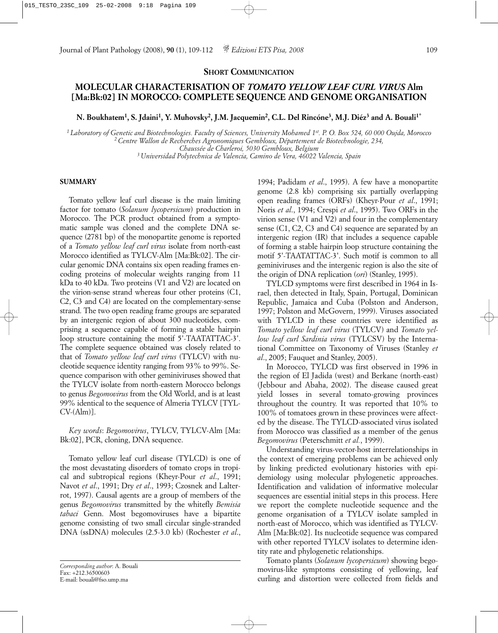**SHORT COMMUNICATION**

## **MOLECULAR CHARACTERISATION OF** *TOMATO YELLOW LEAF CURL VIRUS* **Alm [Ma:Bk:02] IN MOROCCO: COMPLETE SEQUENCE AND GENOME ORGANISATION**

**N. Boukhatem1, S. Jdaini1, Y. Muhovsky2, J.M. Jacquemin2, C.L. Del Rincóne3, M.J. Diéz3 and A. Bouali1\***

*1 Laboratory of Genetic and Biotechnologies. Faculty of Sciences, University Mohamed 1st. P. O. Box 524, 60 000 Oujda, Morocco 2 Centre Wallon de Recherches Agronomiques Gembloux, Département de Biotechnologie, 234, Chaussée de Charleroi, 5030 Gembloux, Belgium*

*3 Universidad Polytechnica de Valencia, Camino de Vera, 46022 Valencia, Spain*

## **SUMMARY**

Tomato yellow leaf curl disease is the main limiting factor for tomato (*Solanum lycopersicum*) production in Morocco. The PCR product obtained from a symptomatic sample was cloned and the complete DNA sequence (2781 bp) of the monopartite genome is reported of a *Tomato yellow leaf curl virus* isolate from north-east Morocco identified as TYLCV-Alm [Ma:Bk:02]. The circular genomic DNA contains six open reading frames encoding proteins of molecular weights ranging from 11 kDa to 40 kDa. Two proteins (V1 and V2) are located on the virion-sense strand whereas four other proteins (C1, C2, C3 and C4) are located on the complementary-sense strand. The two open reading frame groups are separated by an intergenic region of about 300 nucleotides, comprising a sequence capable of forming a stable hairpin loop structure containing the motif 5'-TAATATTAC-3'. The complete sequence obtained was closely related to that of *Tomato yellow leaf curl virus* (TYLCV) with nucleotide sequence identity ranging from 93% to 99%. Sequence comparison with other geminiviruses showed that the TYLCV isolate from north-eastern Morocco belongs to genus *Begomovirus* from the Old World, and is at least 99% identical to the sequence of Almeria TYLCV [TYL-CV-(Alm)].

*Key words*: *Begomovirus*, TYLCV, TYLCV-Alm [Ma: Bk:02], PCR, cloning, DNA sequence.

Tomato yellow leaf curl disease (TYLCD) is one of the most devastating disorders of tomato crops in tropical and subtropical regions (Kheyr-Pour *et al*., 1991; Navot *et al*., 1991; Dry *et al*., 1993; Czosnek and Lalterrot, 1997). Causal agents are a group of members of the genus *Begomovirus* transmitted by the whitefly *Bemisia tabaci* Genn. Most begomoviruses have a bipartite genome consisting of two small circular single-stranded DNA (ssDNA) molecules (2.5-3.0 kb) (Rochester *et al*.,

1994; Padidam *et al*., 1995). A few have a monopartite genome (2.8 kb) comprising six partially overlapping open reading frames (ORFs) (Kheyr-Pour *et al*., 1991; Noris *et al*., 1994; Crespi *et al*., 1995). Two ORFs in the virion sense (V1 and V2) and four in the complementary sense (C1, C2, C3 and C4) sequence are separated by an intergenic region (IR) that includes a sequence capable of forming a stable hairpin loop structure containing the motif 5'-TAATATTAC-3'. Such motif is common to all geminiviruses and the intergenic region is also the site of the origin of DNA replication (*ori*) (Stanley, 1995).

TYLCD symptoms were first described in 1964 in Israel, then detected in Italy, Spain, Portugal, Dominican Republic, Jamaica and Cuba (Polston and Anderson, 1997; Polston and McGovern, 1999). Viruses associated with TYLCD in these countries were identified as *Tomato yellow leaf curl virus* (TYLCV) and *Tomato yellow leaf curl Sardinia virus* (TYLCSV) by the International Committee on Taxonomy of Viruses (Stanley *et al*., 2005; Fauquet and Stanley, 2005).

In Morocco, TYLCD was first observed in 1996 in the region of El Jadida (west) and Berkane (north-east) (Jebbour and Abaha, 2002). The disease caused great yield losses in several tomato-growing provinces throughout the country. It was reported that 10% to 100% of tomatoes grown in these provinces were affected by the disease. The TYLCD-associated virus isolated from Morocco was classified as a member of the genus *Begomovirus* (Peterschmitt *et al.*, 1999).

Understanding virus-vector-host interrelationships in the context of emerging problems can be achieved only by linking predicted evolutionary histories with epidemiology using molecular phylogenetic approaches. Identification and validation of informative molecular sequences are essential initial steps in this process. Here we report the complete nucleotide sequence and the genome organisation of a TYLCV isolate sampled in north-east of Morocco, which was identified as TYLCV-Alm [Ma:Bk:02]. Its nucleotide sequence was compared with other reported TYLCV isolates to determine identity rate and phylogenetic relationships.

Tomato plants (*Solanum lycopersicum*) showing begomovirus-like symptoms consisting of yellowing, leaf curling and distortion were collected from fields and

*Corresponding author*: A. Bouali  $Fax: +212.36500603$ E-mail: bouali@fso.ump.ma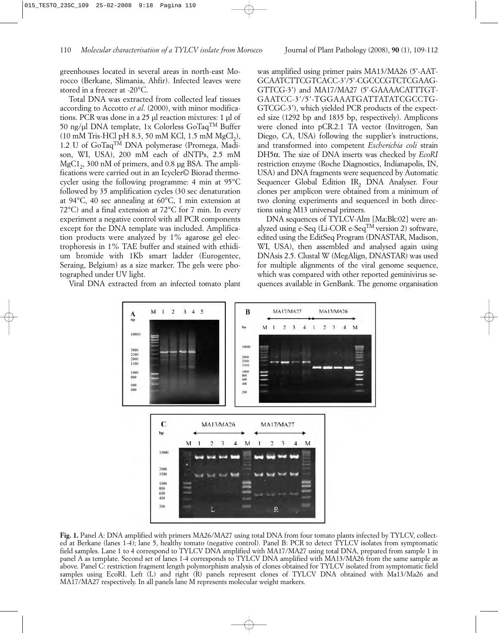greenhouses located in several areas in north-east Morocco (Berkane, Slimania, Ahfir). Infected leaves were stored in a freezer at -20°C.

Total DNA was extracted from collected leaf tissues according to Accotto *et al*. (2000), with minor modifications. PCR was done in a 25 µl reaction mixtures: 1 µl of 50 ng/µl DNA template, 1x Colorless GoTaq<sup>TM</sup> Buffer  $(10 \text{ mM Tris-HCl pH } 8.3, 50 \text{ mM KCl, } 1.5 \text{ mM } MgCl<sub>2</sub>),$ 1.2 U of GoTaqTM DNA polymerase (Promega, Madison, WI, USA), 200 mM each of dNTPs, 2.5 mM  $MgC1<sub>2</sub>$ , 300 nM of primers, and 0.8 µg BSA. The amplifications were carried out in an Icycler© Biorad thermocycler using the following programme: 4 min at 95°C followed by 35 amplification cycles (30 sec denaturation at 94°C, 40 sec annealing at 60°C, 1 min extension at 72°C) and a final extension at 72°C for 7 min. In every experiment a negative control with all PCR components except for the DNA template was included. Amplification products were analyzed by 1% agarose gel electrophoresis in 1% TAE buffer and stained with ethidium bromide with 1Kb smart ladder (Eurogentec, Seraing, Belgium) as a size marker. The gels were photographed under UV light.

Viral DNA extracted from an infected tomato plant

was amplified using primer pairs MA13/MA26 (5'-AAT-GCAATCTTCGTCACC-3'/5'-CGCCCGTCTCGAAG-GTTCG-3') and MA17/MA27 (5'-GAAAACATTTGT-GAATCC-3'/5'-TGGAAATGATTATATCGCCTG-GTCGC-3'), which yielded PCR products of the expected size (1292 bp and 1835 bp, respectively). Amplicons were cloned into pCR.2.1 TA vector (Invitrogen, San Diego, CA, USA) following the supplier's instructions, and transformed into competent *Escherichia coli* strain DH5α. The size of DNA inserts was checked by *EcoRI* restriction enzyme (Roche Diagnostics, Indianapolis, IN, USA) and DNA fragments were sequenced by Automatic Sequencer Global Edition IR<sub>2</sub> DNA Analyser. Four clones per amplicon were obtained from a minimum of two cloning experiments and sequenced in both directions using M13 universal primers.

DNA sequences of TYLCV-Alm [Ma:Bk:02] were analyzed using e-Seq (Li-COR e-SeqTM version 2) software, edited using the EditSeq Program (DNASTAR, Madison, WI, USA), then assembled and analysed again using DNAsis 2.5. Clustal W (MegAlign, DNASTAR) was used for multiple alignments of the viral genome sequence, which was compared with other reported geminivirus sequences available in GenBank. The genome organisation



**Fig. 1.** Panel A: DNA amplified with primers MA26/MA27 using total DNA from four tomato plants infected by TYLCV, collected at Berkane (lanes 1-4); lane 5, healthy tomato (negative control). Panel B: PCR to detect TYLCV isolates from symptomatic field samples. Lane 1 to 4 correspond to TYLCV DNA amplified with MA17/MA27 using total DNA, prepared from sample 1 in panel A as template. Second set of lanes 1-4 corresponds to TYLCV DNA amplified with MA13/MA26 from the same sample as above. Panel C: restriction fragment length polymorphism analysis of clones obtained for TYLCV isolated from symptomatic field samples using EcoRI. Left (L) and right (R) panels represent clones of TYLCV DNA obtained with Ma13/Ma26 and MA17/MA27 respectively. In all panels lane M represents molecular weight markers.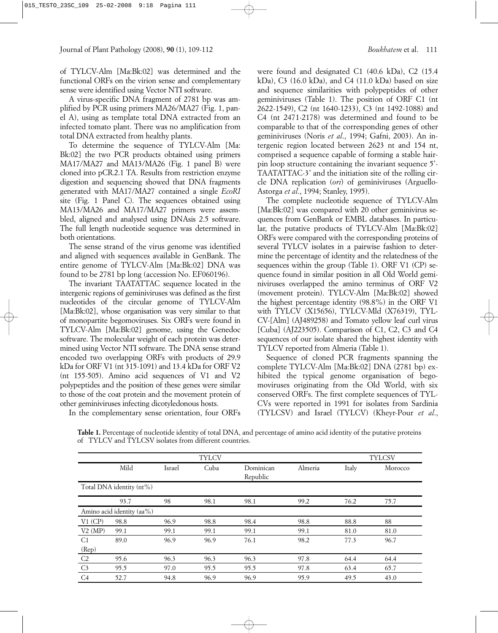of TYLCV-Alm [Ma:Bk:02] was determined and the functional ORFs on the virion sense and complementary sense were identified using Vector NTI software.

A virus-specific DNA fragment of 2781 bp was amplified by PCR using primers MA26/MA27 (Fig. 1, panel A), using as template total DNA extracted from an infected tomato plant. There was no amplification from total DNA extracted from healthy plants.

To determine the sequence of TYLCV-Alm [Ma: Bk:02] the two PCR products obtained using primers MA17/MA27 and MA13/MA26 (Fig. 1 panel B) were cloned into pCR.2.1 TA. Results from restriction enzyme digestion and sequencing showed that DNA fragments generated with MA17/MA27 contained a single *EcoRI* site (Fig. 1 Panel C). The sequences obtained using MA13/MA26 and MA17/MA27 primers were assembled, aligned and analysed using DNAsis 2.5 software. The full length nucleotide sequence was determined in both orientations.

The sense strand of the virus genome was identified and aligned with sequences available in GenBank. The entire genome of TYLCV-Alm [Ma:Bk:02] DNA was found to be 2781 bp long (accession No. EF060196).

The invariant TAATATTAC sequence located in the intergenic regions of geminiviruses was defined as the first nucleotides of the circular genome of TYLCV-Alm [Ma:Bk:02], whose organisation was very similar to that of monopartite begomoviruses. Six ORFs were found in TYLCV-Alm [Ma:Bk:02] genome, using the Genedoc software. The molecular weight of each protein was determined using Vector NTI software. The DNA sense strand encoded two overlapping ORFs with products of 29.9 kDa for ORF V1 (nt 315-1091) and 13.4 kDa for ORF V2 (nt 155-505). Amino acid sequences of V1 and V2 polypeptides and the position of these genes were similar to those of the coat protein and the movement protein of other geminiviruses infecting dicotyledonous hosts.

In the complementary sense orientation, four ORFs

were found and designated C1 (40.6 kDa), C2 (15.4 kDa), C3 (16.0 kDa), and C4 (11.0 kDa) based on size and sequence similarities with polypeptides of other geminiviruses (Table 1). The position of ORF C1 (nt 2622-1549), C2 (nt 1640-1233), C3 (nt 1492-1088) and C4 (nt 2471-2178) was determined and found to be comparable to that of the corresponding genes of other geminiviruses (Noris *et al*., 1994; Gafni, 2003). An intergenic region located between 2623 nt and 154 nt, comprised a sequence capable of forming a stable hairpin loop structure containing the invariant sequence 5'- TAATATTAC-3' and the initiation site of the rolling circle DNA replication (*ori*) of geminiviruses (Arguello-Astorga *et al*., 1994; Stanley, 1995).

The complete nucleotide sequence of TYLCV-Alm [Ma:Bk:02] was compared with 20 other geminivirus sequences from GenBank or EMBL databases. In particular, the putative products of TYLCV-Alm [Ma:Bk:02] ORFs were compared with the corresponding proteins of several TYLCV isolates in a pairwise fashion to determine the percentage of identity and the relatedness of the sequences within the group (Table 1). ORF V1 (CP) sequence found in similar position in all Old World geminiviruses overlapped the amino terminus of ORF V2 (movement protein). TYLCV-Alm [Ma:Bk:02] showed the highest percentage identity (98.8%) in the ORF V1 with TYLCV (X15656), TYLCV-Mld (X76319), TYL-CV-[Alm] (AJ489258) and Tomato yellow leaf curl virus [Cuba] (AJ223505). Comparison of C1, C2, C3 and C4 sequences of our isolate shared the highest identity with TYLCV reported from Almeria (Table 1).

Sequence of cloned PCR fragments spanning the complete TYLCV-Alm [Ma:Bk:02] DNA (2781 bp) exhibited the typical genome organisation of begomoviruses originating from the Old World, with six conserved ORFs. The first complete sequences of TYL-CVs were reported in 1991 for isolates from Sardinia (TYLCSV) and Israel (TYLCV) (Kheyr-Pour *et al*.,

|                | <b>TYLCV</b>              |        |      |                       |         | <b>TYLCSV</b> |         |
|----------------|---------------------------|--------|------|-----------------------|---------|---------------|---------|
|                | Mild                      | Israel | Cuba | Dominican<br>Republic | Almeria | Italy         | Morocco |
|                | Total DNA identity (nt%)  |        |      |                       |         |               |         |
|                | 93.7                      | 98     | 98.1 | 98.1                  | 99.2    | 76.2          | 75.7    |
|                | Amino acid identity (aa%) |        |      |                       |         |               |         |
| $V1$ (CP)      | 98.8                      | 96.9   | 98.8 | 98.4                  | 98.8    | 88.8          | 88      |
| V2(MP)         | 99.1                      | 99.1   | 99.1 | 99.1                  | 99.1    | 81.0          | 81.0    |
| C <sub>1</sub> | 89.0                      | 96.9   | 96.9 | 76.1                  | 98.2    | 77.3          | 96.7    |
| (Rep)          |                           |        |      |                       |         |               |         |
| C <sub>2</sub> | 95.6                      | 96.3   | 96.3 | 96.3                  | 97.8    | 64.4          | 64.4    |
| C <sub>3</sub> | 95.5                      | 97.0   | 95.5 | 95.5                  | 97.8    | 63.4          | 65.7    |
| C <sub>4</sub> | 52.7                      | 94.8   | 96.9 | 96.9                  | 95.9    | 49.5          | 43.0    |

**Table 1.** Percentage of nucleotide identity of total DNA, and percentage of amino acid identity of the putative proteins of TYLCV and TYLCSV isolates from different countries.